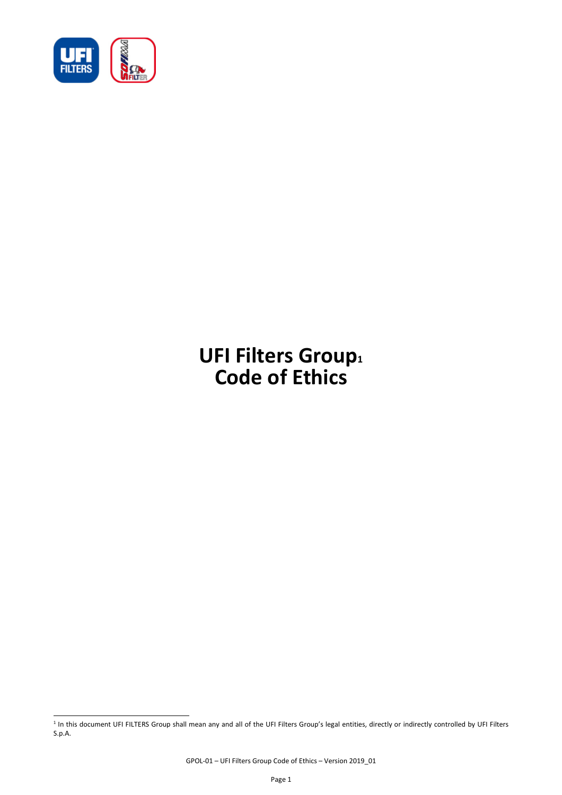

l

# **UFI Filters Group<sup>1</sup> Code of Ethics**

<sup>&</sup>lt;sup>1</sup> In this document UFI FILTERS Group shall mean any and all of the UFI Filters Group's legal entities, directly or indirectly controlled by UFI Filters S.p.A.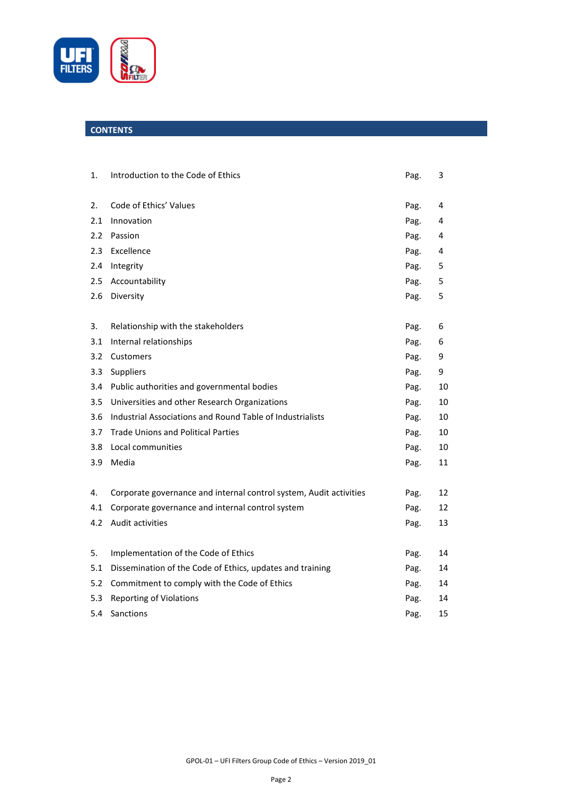

# **CONTENTS**

| 1.  | Introduction to the Code of Ethics                                 | Pag. | 3  |
|-----|--------------------------------------------------------------------|------|----|
|     |                                                                    |      |    |
| 2.  | Code of Ethics' Values                                             | Pag. | 4  |
| 2.1 | Innovation                                                         | Pag. | 4  |
| 2.2 | Passion                                                            | Pag. | 4  |
| 2.3 | Excellence                                                         | Pag. | 4  |
| 2.4 | Integrity                                                          | Pag. | 5  |
| 2.5 | Accountability                                                     | Pag. | 5  |
| 2.6 | Diversity                                                          | Pag. | 5  |
|     |                                                                    |      |    |
| 3.  | Relationship with the stakeholders                                 | Pag. | 6  |
| 3.1 | Internal relationships                                             | Pag. | 6  |
| 3.2 | Customers                                                          | Pag. | 9  |
| 3.3 | Suppliers                                                          | Pag. | 9  |
| 3.4 | Public authorities and governmental bodies                         | Pag. | 10 |
| 3.5 | Universities and other Research Organizations                      | Pag. | 10 |
| 3.6 | Industrial Associations and Round Table of Industrialists          | Pag. | 10 |
| 3.7 | <b>Trade Unions and Political Parties</b>                          | Pag. | 10 |
| 3.8 | Local communities                                                  | Pag. | 10 |
| 3.9 | Media                                                              | Pag. | 11 |
|     |                                                                    |      |    |
| 4.  | Corporate governance and internal control system, Audit activities | Pag. | 12 |
| 4.1 | Corporate governance and internal control system                   | Pag. | 12 |
| 4.2 | Audit activities                                                   | Pag. | 13 |
| 5.  | Implementation of the Code of Ethics                               | Pag. | 14 |
| 5.1 | Dissemination of the Code of Ethics, updates and training          | Pag. | 14 |
| 5.2 | Commitment to comply with the Code of Ethics                       | Pag. | 14 |
| 5.3 | <b>Reporting of Violations</b>                                     | Pag. | 14 |
| 5.4 | Sanctions                                                          | Pag. | 15 |
|     |                                                                    |      |    |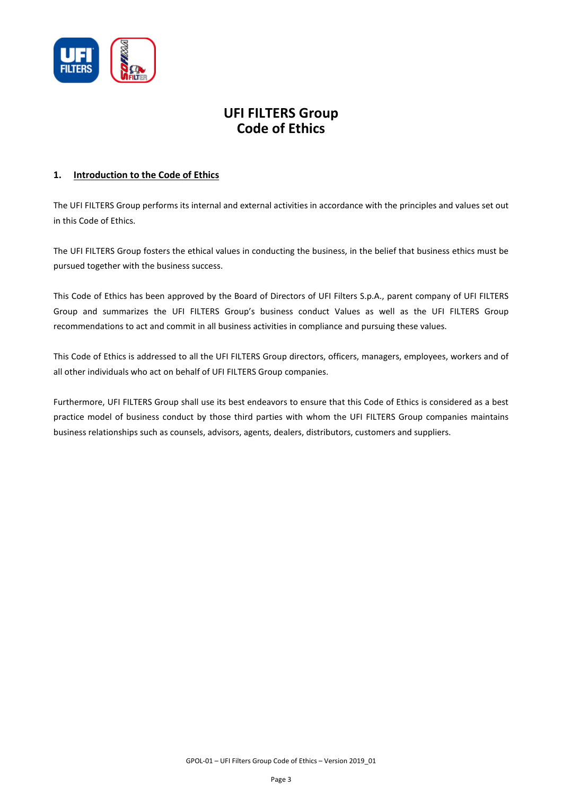

# **UFI FILTERS Group Code of Ethics**

# **1. Introduction to the Code of Ethics**

The UFI FILTERS Group performs its internal and external activities in accordance with the principles and values set out in this Code of Ethics.

The UFI FILTERS Group fosters the ethical values in conducting the business, in the belief that business ethics must be pursued together with the business success.

This Code of Ethics has been approved by the Board of Directors of UFI Filters S.p.A., parent company of UFI FILTERS Group and summarizes the UFI FILTERS Group's business conduct Values as well as the UFI FILTERS Group recommendations to act and commit in all business activities in compliance and pursuing these values.

This Code of Ethics is addressed to all the UFI FILTERS Group directors, officers, managers, employees, workers and of all other individuals who act on behalf of UFI FILTERS Group companies.

Furthermore, UFI FILTERS Group shall use its best endeavors to ensure that this Code of Ethics is considered as a best practice model of business conduct by those third parties with whom the UFI FILTERS Group companies maintains business relationships such as counsels, advisors, agents, dealers, distributors, customers and suppliers.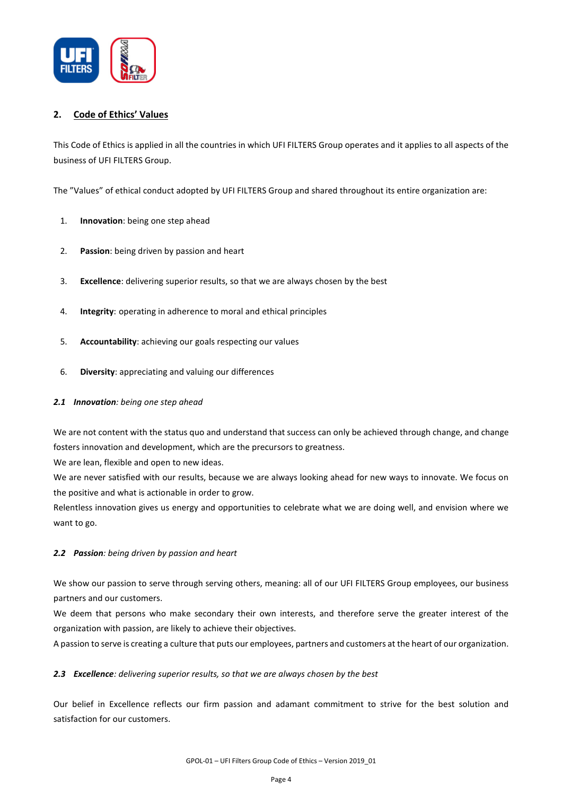

# **2. Code of Ethics' Values**

This Code of Ethics is applied in all the countries in which UFI FILTERS Group operates and it applies to all aspects of the business of UFI FILTERS Group.

The "Values" of ethical conduct adopted by UFI FILTERS Group and shared throughout its entire organization are:

- 1. **Innovation**: being one step ahead
- 2. **Passion**: being driven by passion and heart
- 3. **Excellence**: delivering superior results, so that we are always chosen by the best
- 4. **Integrity**: operating in adherence to moral and ethical principles
- 5. **Accountability**: achieving our goals respecting our values
- 6. **Diversity**: appreciating and valuing our differences

# *2.1 Innovation: being one step ahead*

We are not content with the status quo and understand that success can only be achieved through change, and change fosters innovation and development, which are the precursors to greatness.

We are lean, flexible and open to new ideas.

We are never satisfied with our results, because we are always looking ahead for new ways to innovate. We focus on the positive and what is actionable in order to grow.

Relentless innovation gives us energy and opportunities to celebrate what we are doing well, and envision where we want to go.

# *2.2 Passion: being driven by passion and heart*

We show our passion to serve through serving others, meaning: all of our UFI FILTERS Group employees, our business partners and our customers.

We deem that persons who make secondary their own interests, and therefore serve the greater interest of the organization with passion, are likely to achieve their objectives.

A passion to serve is creating a culture that puts our employees, partners and customers at the heart of our organization.

# *2.3 Excellence: delivering superior results, so that we are always chosen by the best*

Our belief in Excellence reflects our firm passion and adamant commitment to strive for the best solution and satisfaction for our customers.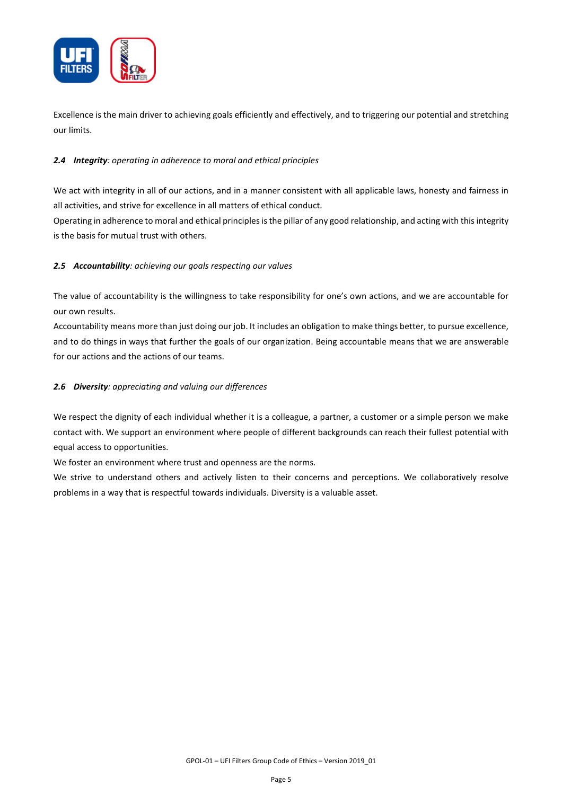

Excellence is the main driver to achieving goals efficiently and effectively, and to triggering our potential and stretching our limits.

# *2.4 Integrity: operating in adherence to moral and ethical principles*

We act with integrity in all of our actions, and in a manner consistent with all applicable laws, honesty and fairness in all activities, and strive for excellence in all matters of ethical conduct.

Operating in adherence to moral and ethical principles is the pillar of any good relationship, and acting with this integrity is the basis for mutual trust with others.

# *2.5 Accountability: achieving our goals respecting our values*

The value of accountability is the willingness to take responsibility for one's own actions, and we are accountable for our own results.

Accountability means more than just doing our job. It includes an obligation to make things better, to pursue excellence, and to do things in ways that further the goals of our organization. Being accountable means that we are answerable for our actions and the actions of our teams.

# *2.6 Diversity: appreciating and valuing our differences*

We respect the dignity of each individual whether it is a colleague, a partner, a customer or a simple person we make contact with. We support an environment where people of different backgrounds can reach their fullest potential with equal access to opportunities.

We foster an environment where trust and openness are the norms.

We strive to understand others and actively listen to their concerns and perceptions. We collaboratively resolve problems in a way that is respectful towards individuals. Diversity is a valuable asset.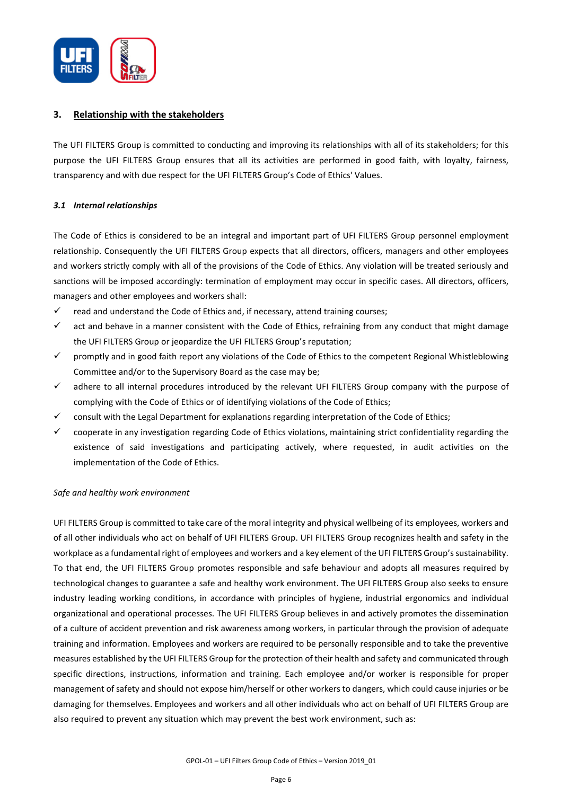

# **3. Relationship with the stakeholders**

The UFI FILTERS Group is committed to conducting and improving its relationships with all of its stakeholders; for this purpose the UFI FILTERS Group ensures that all its activities are performed in good faith, with loyalty, fairness, transparency and with due respect for the UFI FILTERS Group's Code of Ethics' Values.

# *3.1 Internal relationships*

The Code of Ethics is considered to be an integral and important part of UFI FILTERS Group personnel employment relationship. Consequently the UFI FILTERS Group expects that all directors, officers, managers and other employees and workers strictly comply with all of the provisions of the Code of Ethics. Any violation will be treated seriously and sanctions will be imposed accordingly: termination of employment may occur in specific cases. All directors, officers, managers and other employees and workers shall:

- $\checkmark$  read and understand the Code of Ethics and, if necessary, attend training courses;
- $\checkmark$  act and behave in a manner consistent with the Code of Ethics, refraining from any conduct that might damage the UFI FILTERS Group or jeopardize the UFI FILTERS Group's reputation;
- $\checkmark$  promptly and in good faith report any violations of the Code of Ethics to the competent Regional Whistleblowing Committee and/or to the Supervisory Board as the case may be;
- $\checkmark$  adhere to all internal procedures introduced by the relevant UFI FILTERS Group company with the purpose of complying with the Code of Ethics or of identifying violations of the Code of Ethics;
- $\checkmark$  consult with the Legal Department for explanations regarding interpretation of the Code of Ethics;
- $\checkmark$  cooperate in any investigation regarding Code of Ethics violations, maintaining strict confidentiality regarding the existence of said investigations and participating actively, where requested, in audit activities on the implementation of the Code of Ethics.

# *Safe and healthy work environment*

UFI FILTERS Group is committed to take care of the moral integrity and physical wellbeing of its employees, workers and of all other individuals who act on behalf of UFI FILTERS Group. UFI FILTERS Group recognizes health and safety in the workplace as a fundamental right of employees and workers and a key element of the UFI FILTERS Group's sustainability. To that end, the UFI FILTERS Group promotes responsible and safe behaviour and adopts all measures required by technological changes to guarantee a safe and healthy work environment. The UFI FILTERS Group also seeks to ensure industry leading working conditions, in accordance with principles of hygiene, industrial ergonomics and individual organizational and operational processes. The UFI FILTERS Group believes in and actively promotes the dissemination of a culture of accident prevention and risk awareness among workers, in particular through the provision of adequate training and information. Employees and workers are required to be personally responsible and to take the preventive measures established by the UFI FILTERS Group for the protection of their health and safety and communicated through specific directions, instructions, information and training. Each employee and/or worker is responsible for proper management of safety and should not expose him/herself or other workers to dangers, which could cause injuries or be damaging for themselves. Employees and workers and all other individuals who act on behalf of UFI FILTERS Group are also required to prevent any situation which may prevent the best work environment, such as: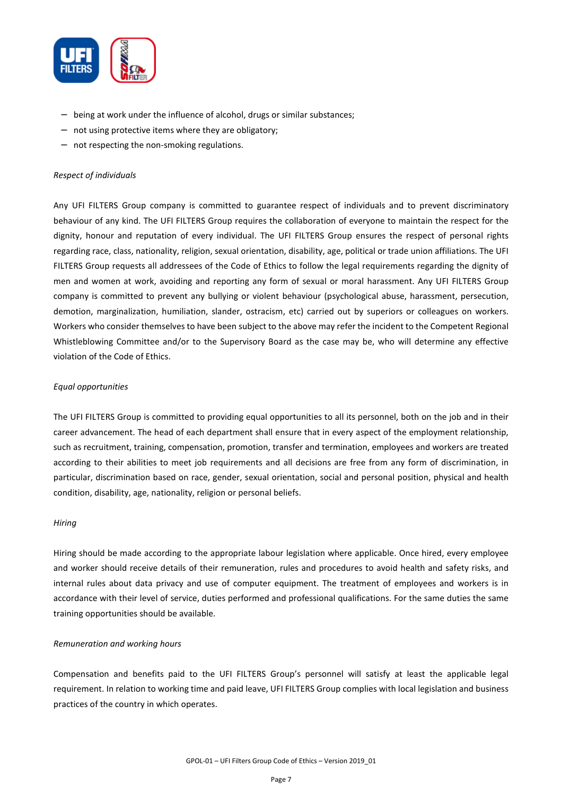

- being at work under the influence of alcohol, drugs or similar substances;
- not using protective items where they are obligatory;
- not respecting the non-smoking regulations.

#### *Respect of individuals*

Any UFI FILTERS Group company is committed to guarantee respect of individuals and to prevent discriminatory behaviour of any kind. The UFI FILTERS Group requires the collaboration of everyone to maintain the respect for the dignity, honour and reputation of every individual. The UFI FILTERS Group ensures the respect of personal rights regarding race, class, nationality, religion, sexual orientation, disability, age, political or trade union affiliations. The UFI FILTERS Group requests all addressees of the Code of Ethics to follow the legal requirements regarding the dignity of men and women at work, avoiding and reporting any form of sexual or moral harassment. Any UFI FILTERS Group company is committed to prevent any bullying or violent behaviour (psychological abuse, harassment, persecution, demotion, marginalization, humiliation, slander, ostracism, etc) carried out by superiors or colleagues on workers. Workers who consider themselves to have been subject to the above may refer the incident to the Competent Regional Whistleblowing Committee and/or to the Supervisory Board as the case may be, who will determine any effective violation of the Code of Ethics.

#### *Equal opportunities*

The UFI FILTERS Group is committed to providing equal opportunities to all its personnel, both on the job and in their career advancement. The head of each department shall ensure that in every aspect of the employment relationship, such as recruitment, training, compensation, promotion, transfer and termination, employees and workers are treated according to their abilities to meet job requirements and all decisions are free from any form of discrimination, in particular, discrimination based on race, gender, sexual orientation, social and personal position, physical and health condition, disability, age, nationality, religion or personal beliefs.

#### *Hiring*

Hiring should be made according to the appropriate labour legislation where applicable. Once hired, every employee and worker should receive details of their remuneration, rules and procedures to avoid health and safety risks, and internal rules about data privacy and use of computer equipment. The treatment of employees and workers is in accordance with their level of service, duties performed and professional qualifications. For the same duties the same training opportunities should be available.

#### *Remuneration and working hours*

Compensation and benefits paid to the UFI FILTERS Group's personnel will satisfy at least the applicable legal requirement. In relation to working time and paid leave, UFI FILTERS Group complies with local legislation and business practices of the country in which operates.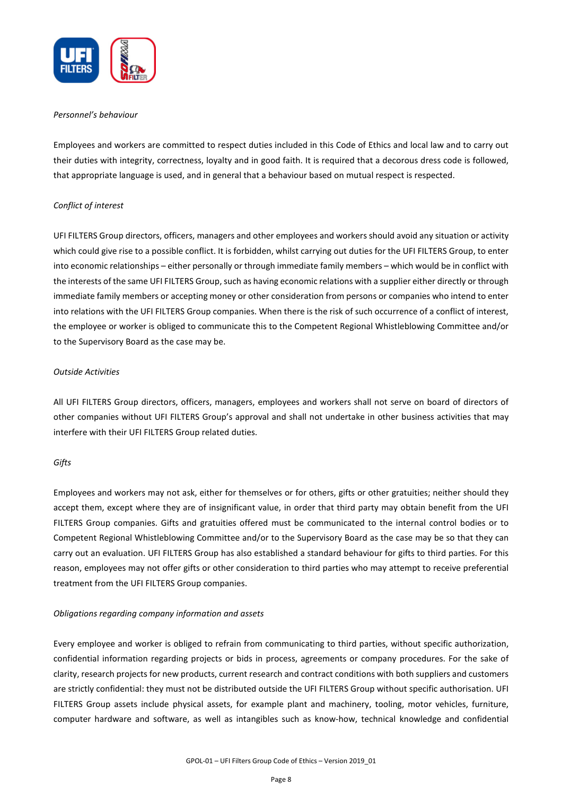

#### *Personnel's behaviour*

Employees and workers are committed to respect duties included in this Code of Ethics and local law and to carry out their duties with integrity, correctness, loyalty and in good faith. It is required that a decorous dress code is followed, that appropriate language is used, and in general that a behaviour based on mutual respect is respected.

# *Conflict of interest*

UFI FILTERS Group directors, officers, managers and other employees and workers should avoid any situation or activity which could give rise to a possible conflict. It is forbidden, whilst carrying out duties for the UFI FILTERS Group, to enter into economic relationships – either personally or through immediate family members – which would be in conflict with the interests of the same UFI FILTERS Group, such as having economic relations with a supplier either directly or through immediate family members or accepting money or other consideration from persons or companies who intend to enter into relations with the UFI FILTERS Group companies. When there is the risk of such occurrence of a conflict of interest, the employee or worker is obliged to communicate this to the Competent Regional Whistleblowing Committee and/or to the Supervisory Board as the case may be.

#### *Outside Activities*

All UFI FILTERS Group directors, officers, managers, employees and workers shall not serve on board of directors of other companies without UFI FILTERS Group's approval and shall not undertake in other business activities that may interfere with their UFI FILTERS Group related duties.

# *Gifts*

Employees and workers may not ask, either for themselves or for others, gifts or other gratuities; neither should they accept them, except where they are of insignificant value, in order that third party may obtain benefit from the UFI FILTERS Group companies. Gifts and gratuities offered must be communicated to the internal control bodies or to Competent Regional Whistleblowing Committee and/or to the Supervisory Board as the case may be so that they can carry out an evaluation. UFI FILTERS Group has also established a standard behaviour for gifts to third parties. For this reason, employees may not offer gifts or other consideration to third parties who may attempt to receive preferential treatment from the UFI FILTERS Group companies.

#### *Obligations regarding company information and assets*

Every employee and worker is obliged to refrain from communicating to third parties, without specific authorization, confidential information regarding projects or bids in process, agreements or company procedures. For the sake of clarity, research projects for new products, current research and contract conditions with both suppliers and customers are strictly confidential: they must not be distributed outside the UFI FILTERS Group without specific authorisation. UFI FILTERS Group assets include physical assets, for example plant and machinery, tooling, motor vehicles, furniture, computer hardware and software, as well as intangibles such as know-how, technical knowledge and confidential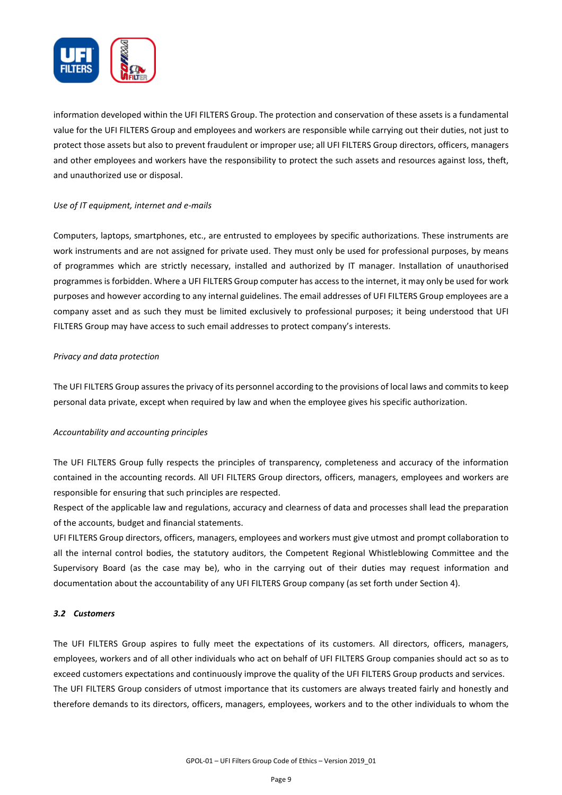

information developed within the UFI FILTERS Group. The protection and conservation of these assets is a fundamental value for the UFI FILTERS Group and employees and workers are responsible while carrying out their duties, not just to protect those assets but also to prevent fraudulent or improper use; all UFI FILTERS Group directors, officers, managers and other employees and workers have the responsibility to protect the such assets and resources against loss, theft, and unauthorized use or disposal.

# *Use of IT equipment, internet and e-mails*

Computers, laptops, smartphones, etc., are entrusted to employees by specific authorizations. These instruments are work instruments and are not assigned for private used. They must only be used for professional purposes, by means of programmes which are strictly necessary, installed and authorized by IT manager. Installation of unauthorised programmes is forbidden. Where a UFI FILTERS Group computer has access to the internet, it may only be used for work purposes and however according to any internal guidelines. The email addresses of UFI FILTERS Group employees are a company asset and as such they must be limited exclusively to professional purposes; it being understood that UFI FILTERS Group may have access to such email addresses to protect company's interests.

# *Privacy and data protection*

The UFI FILTERS Group assures the privacy of its personnel according to the provisions of local laws and commits to keep personal data private, except when required by law and when the employee gives his specific authorization.

# *Accountability and accounting principles*

The UFI FILTERS Group fully respects the principles of transparency, completeness and accuracy of the information contained in the accounting records. All UFI FILTERS Group directors, officers, managers, employees and workers are responsible for ensuring that such principles are respected.

Respect of the applicable law and regulations, accuracy and clearness of data and processes shall lead the preparation of the accounts, budget and financial statements.

UFI FILTERS Group directors, officers, managers, employees and workers must give utmost and prompt collaboration to all the internal control bodies, the statutory auditors, the Competent Regional Whistleblowing Committee and the Supervisory Board (as the case may be), who in the carrying out of their duties may request information and documentation about the accountability of any UFI FILTERS Group company (as set forth under Section 4).

# *3.2 Customers*

The UFI FILTERS Group aspires to fully meet the expectations of its customers. All directors, officers, managers, employees, workers and of all other individuals who act on behalf of UFI FILTERS Group companies should act so as to exceed customers expectations and continuously improve the quality of the UFI FILTERS Group products and services. The UFI FILTERS Group considers of utmost importance that its customers are always treated fairly and honestly and therefore demands to its directors, officers, managers, employees, workers and to the other individuals to whom the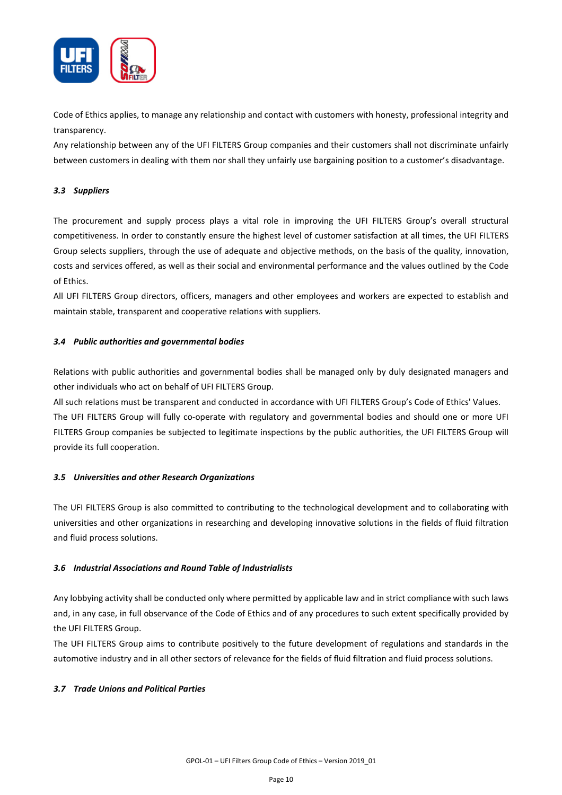

Code of Ethics applies, to manage any relationship and contact with customers with honesty, professional integrity and transparency.

Any relationship between any of the UFI FILTERS Group companies and their customers shall not discriminate unfairly between customers in dealing with them nor shall they unfairly use bargaining position to a customer's disadvantage.

# *3.3 Suppliers*

The procurement and supply process plays a vital role in improving the UFI FILTERS Group's overall structural competitiveness. In order to constantly ensure the highest level of customer satisfaction at all times, the UFI FILTERS Group selects suppliers, through the use of adequate and objective methods, on the basis of the quality, innovation, costs and services offered, as well as their social and environmental performance and the values outlined by the Code of Ethics.

All UFI FILTERS Group directors, officers, managers and other employees and workers are expected to establish and maintain stable, transparent and cooperative relations with suppliers.

# *3.4 Public authorities and governmental bodies*

Relations with public authorities and governmental bodies shall be managed only by duly designated managers and other individuals who act on behalf of UFI FILTERS Group.

All such relations must be transparent and conducted in accordance with UFI FILTERS Group's Code of Ethics' Values. The UFI FILTERS Group will fully co-operate with regulatory and governmental bodies and should one or more UFI FILTERS Group companies be subjected to legitimate inspections by the public authorities, the UFI FILTERS Group will provide its full cooperation.

# *3.5 Universities and other Research Organizations*

The UFI FILTERS Group is also committed to contributing to the technological development and to collaborating with universities and other organizations in researching and developing innovative solutions in the fields of fluid filtration and fluid process solutions.

# *3.6 Industrial Associations and Round Table of Industrialists*

Any lobbying activity shall be conducted only where permitted by applicable law and in strict compliance with such laws and, in any case, in full observance of the Code of Ethics and of any procedures to such extent specifically provided by the UFI FILTERS Group.

The UFI FILTERS Group aims to contribute positively to the future development of regulations and standards in the automotive industry and in all other sectors of relevance for the fields of fluid filtration and fluid process solutions.

# *3.7 Trade Unions and Political Parties*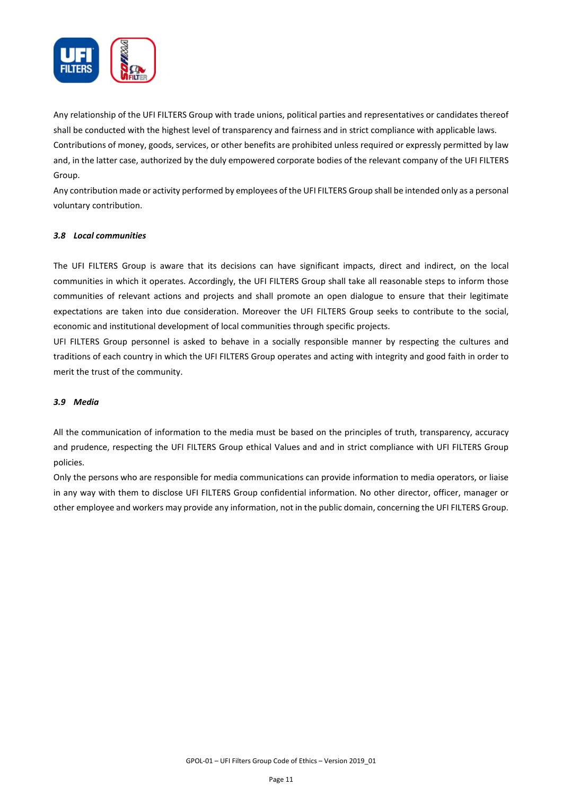

Any relationship of the UFI FILTERS Group with trade unions, political parties and representatives or candidates thereof shall be conducted with the highest level of transparency and fairness and in strict compliance with applicable laws. Contributions of money, goods, services, or other benefits are prohibited unless required or expressly permitted by law and, in the latter case, authorized by the duly empowered corporate bodies of the relevant company of the UFI FILTERS Group.

Any contribution made or activity performed by employees of the UFI FILTERS Group shall be intended only as a personal voluntary contribution.

# *3.8 Local communities*

The UFI FILTERS Group is aware that its decisions can have significant impacts, direct and indirect, on the local communities in which it operates. Accordingly, the UFI FILTERS Group shall take all reasonable steps to inform those communities of relevant actions and projects and shall promote an open dialogue to ensure that their legitimate expectations are taken into due consideration. Moreover the UFI FILTERS Group seeks to contribute to the social, economic and institutional development of local communities through specific projects.

UFI FILTERS Group personnel is asked to behave in a socially responsible manner by respecting the cultures and traditions of each country in which the UFI FILTERS Group operates and acting with integrity and good faith in order to merit the trust of the community.

# *3.9 Media*

All the communication of information to the media must be based on the principles of truth, transparency, accuracy and prudence, respecting the UFI FILTERS Group ethical Values and and in strict compliance with UFI FILTERS Group policies.

Only the persons who are responsible for media communications can provide information to media operators, or liaise in any way with them to disclose UFI FILTERS Group confidential information. No other director, officer, manager or other employee and workers may provide any information, not in the public domain, concerning the UFI FILTERS Group.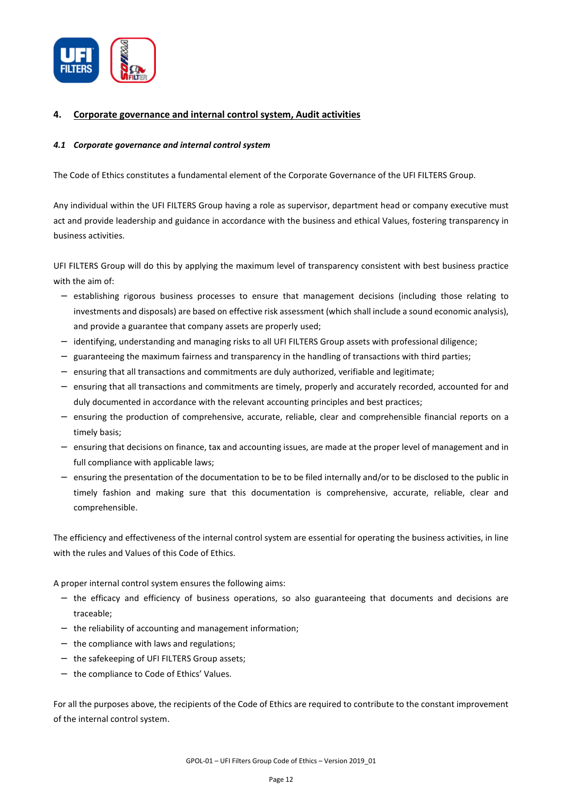

# **4. Corporate governance and internal control system, Audit activities**

# *4.1 Corporate governance and internal control system*

The Code of Ethics constitutes a fundamental element of the Corporate Governance of the UFI FILTERS Group.

Any individual within the UFI FILTERS Group having a role as supervisor, department head or company executive must act and provide leadership and guidance in accordance with the business and ethical Values, fostering transparency in business activities.

UFI FILTERS Group will do this by applying the maximum level of transparency consistent with best business practice with the aim of:

- − establishing rigorous business processes to ensure that management decisions (including those relating to investments and disposals) are based on effective risk assessment (which shall include a sound economic analysis), and provide a guarantee that company assets are properly used;
- − identifying, understanding and managing risks to all UFI FILTERS Group assets with professional diligence;
- − guaranteeing the maximum fairness and transparency in the handling of transactions with third parties;
- − ensuring that all transactions and commitments are duly authorized, verifiable and legitimate;
- − ensuring that all transactions and commitments are timely, properly and accurately recorded, accounted for and duly documented in accordance with the relevant accounting principles and best practices;
- − ensuring the production of comprehensive, accurate, reliable, clear and comprehensible financial reports on a timely basis;
- − ensuring that decisions on finance, tax and accounting issues, are made at the proper level of management and in full compliance with applicable laws;
- − ensuring the presentation of the documentation to be to be filed internally and/or to be disclosed to the public in timely fashion and making sure that this documentation is comprehensive, accurate, reliable, clear and comprehensible.

The efficiency and effectiveness of the internal control system are essential for operating the business activities, in line with the rules and Values of this Code of Ethics.

A proper internal control system ensures the following aims:

- − the efficacy and efficiency of business operations, so also guaranteeing that documents and decisions are traceable;
- − the reliability of accounting and management information;
- − the compliance with laws and regulations;
- − the safekeeping of UFI FILTERS Group assets;
- − the compliance to Code of Ethics' Values.

For all the purposes above, the recipients of the Code of Ethics are required to contribute to the constant improvement of the internal control system.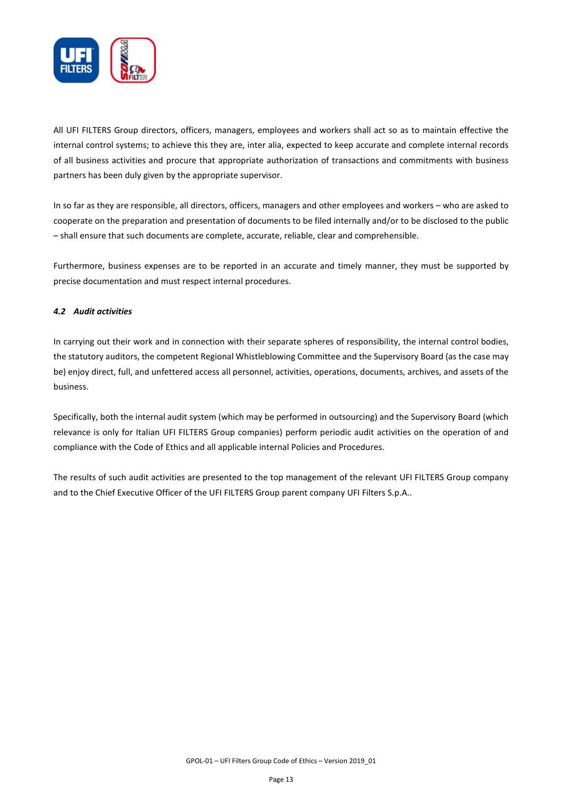

All UFI FILTERS Group directors, officers, managers, employees and workers shall act so as to maintain effective the internal control systems; to achieve this they are, inter alia, expected to keep accurate and complete internal records of all business activities and procure that appropriate authorization of transactions and commitments with business partners has been duly given by the appropriate supervisor.

In so far as they are responsible, all directors, officers, managers and other employees and workers – who are asked to cooperate on the preparation and presentation of documents to be filed internally and/or to be disclosed to the public – shall ensure that such documents are complete, accurate, reliable, clear and comprehensible.

Furthermore, business expenses are to be reported in an accurate and timely manner, they must be supported by precise documentation and must respect internal procedures.

# *4.2 Audit activities*

In carrying out their work and in connection with their separate spheres of responsibility, the internal control bodies, the statutory auditors, the competent Regional Whistleblowing Committee and the Supervisory Board (as the case may be) enjoy direct, full, and unfettered access all personnel, activities, operations, documents, archives, and assets of the business.

Specifically, both the internal audit system (which may be performed in outsourcing) and the Supervisory Board (which relevance is only for Italian UFI FILTERS Group companies) perform periodic audit activities on the operation of and compliance with the Code of Ethics and all applicable internal Policies and Procedures.

The results of such audit activities are presented to the top management of the relevant UFI FILTERS Group company and to the Chief Executive Officer of the UFI FILTERS Group parent company UFI Filters S.p.A..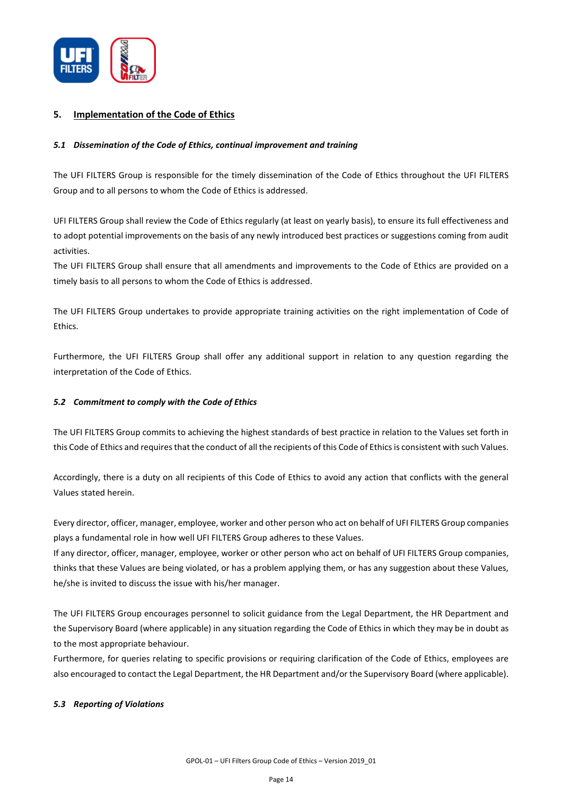

# **5. Implementation of the Code of Ethics**

# *5.1 Dissemination of the Code of Ethics, continual improvement and training*

The UFI FILTERS Group is responsible for the timely dissemination of the Code of Ethics throughout the UFI FILTERS Group and to all persons to whom the Code of Ethics is addressed.

UFI FILTERS Group shall review the Code of Ethics regularly (at least on yearly basis), to ensure its full effectiveness and to adopt potential improvements on the basis of any newly introduced best practices or suggestions coming from audit activities.

The UFI FILTERS Group shall ensure that all amendments and improvements to the Code of Ethics are provided on a timely basis to all persons to whom the Code of Ethics is addressed.

The UFI FILTERS Group undertakes to provide appropriate training activities on the right implementation of Code of Ethics.

Furthermore, the UFI FILTERS Group shall offer any additional support in relation to any question regarding the interpretation of the Code of Ethics.

# *5.2 Commitment to comply with the Code of Ethics*

The UFI FILTERS Group commits to achieving the highest standards of best practice in relation to the Values set forth in this Code of Ethics and requires that the conduct of all the recipients of this Code of Ethics is consistent with such Values.

Accordingly, there is a duty on all recipients of this Code of Ethics to avoid any action that conflicts with the general Values stated herein.

Every director, officer, manager, employee, worker and other person who act on behalf of UFI FILTERS Group companies plays a fundamental role in how well UFI FILTERS Group adheres to these Values.

If any director, officer, manager, employee, worker or other person who act on behalf of UFI FILTERS Group companies, thinks that these Values are being violated, or has a problem applying them, or has any suggestion about these Values, he/she is invited to discuss the issue with his/her manager.

The UFI FILTERS Group encourages personnel to solicit guidance from the Legal Department, the HR Department and the Supervisory Board (where applicable) in any situation regarding the Code of Ethics in which they may be in doubt as to the most appropriate behaviour.

Furthermore, for queries relating to specific provisions or requiring clarification of the Code of Ethics, employees are also encouraged to contact the Legal Department, the HR Department and/or the Supervisory Board (where applicable).

# *5.3 Reporting of Violations*